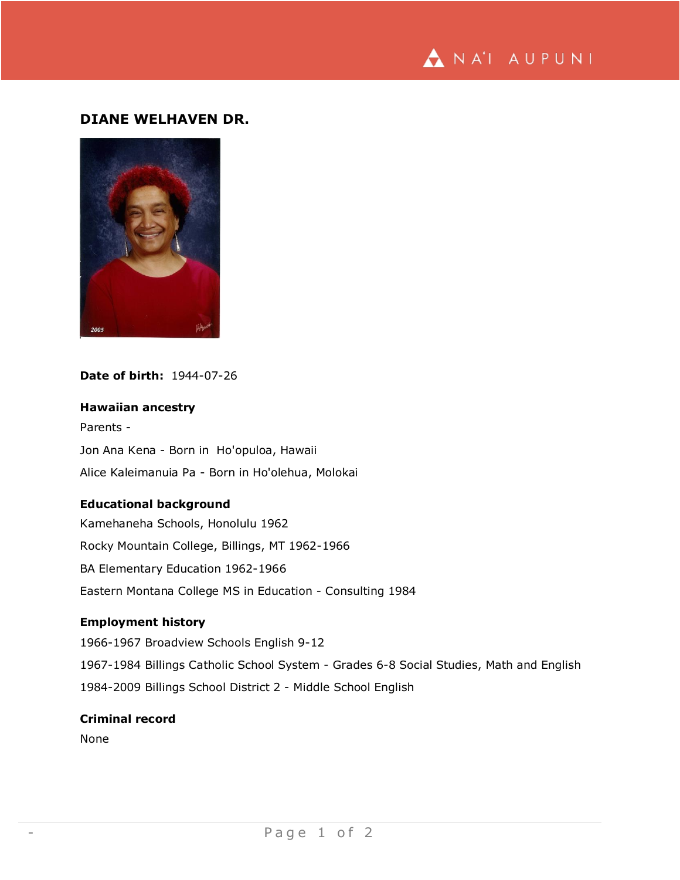

# **DIANE WELHAVEN DR.**



# **Date of birth:** 1944-07-26

# **Hawaiian ancestry**

Parents - Jon Ana Kena - Born in Ho'opuloa, Hawaii Alice Kaleimanuia Pa - Born in Ho'olehua, Molokai

### **Educational background**

Kamehaneha Schools, Honolulu 1962 Rocky Mountain College, Billings, MT 1962-1966 BA Elementary Education 1962-1966 Eastern Montana College MS in Education - Consulting 1984

# **Employment history**

1966-1967 Broadview Schools English 9-12 1967-1984 Billings Catholic School System - Grades 6-8 Social Studies, Math and English 1984-2009 Billings School District 2 - Middle School English

# **Criminal record**

None